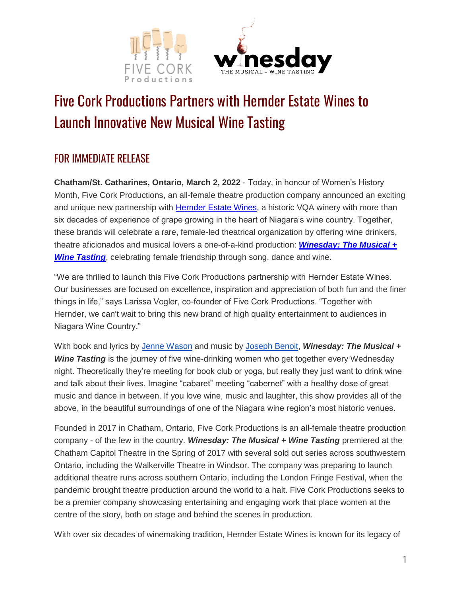



## Five Cork Productions Partners with Hernder Estate Wines to Launch Innovative New Musical Wine Tasting

## FOR IMMEDIATE RELEASE

**Chatham/St. Catharines, Ontario, March 2, 2022** - Today, in honour of Women's History Month, Five Cork Productions, an all-female theatre production company announced an exciting and unique new partnership with [Hernder Estate Wines,](https://www.hernder.com/) a historic VQA winery with more than six decades of experience of grape growing in the heart of Niagara's wine country. Together, these brands will celebrate a rare, female-led theatrical organization by offering wine drinkers, theatre aficionados and musical lovers a one-of-a-kind production: *[Winesday: The Musical +](https://www.winesdaymusical.com/)*  **[Wine Tasting](https://www.winesdaymusical.com/)**, celebrating female friendship through song, dance and wine.

"We are thrilled to launch this Five Cork Productions partnership with Hernder Estate Wines. Our businesses are focused on excellence, inspiration and appreciation of both fun and the finer things in life," says Larissa Vogler, co-founder of Five Cork Productions. "Together with Hernder, we can't wait to bring this new brand of high quality entertainment to audiences in Niagara Wine Country."

With book and lyrics by [Jenne Wason](https://www.jennewason.com/) and music by [Joseph Benoit,](https://www.josephbenoit.com/) *Winesday: The Musical +*  **Wine Tasting** is the journey of five wine-drinking women who get together every Wednesday night. Theoretically they're meeting for book club or yoga, but really they just want to drink wine and talk about their lives. Imagine "cabaret" meeting "cabernet" with a healthy dose of great music and dance in between. If you love wine, music and laughter, this show provides all of the above, in the beautiful surroundings of one of the Niagara wine region's most historic venues.

Founded in 2017 in Chatham, Ontario, Five Cork Productions is an all-female theatre production company - of the few in the country. *Winesday: The Musical + Wine Tasting* premiered at the Chatham Capitol Theatre in the Spring of 2017 with several sold out series across southwestern Ontario, including the Walkerville Theatre in Windsor. The company was preparing to launch additional theatre runs across southern Ontario, including the London Fringe Festival, when the pandemic brought theatre production around the world to a halt. Five Cork Productions seeks to be a premier company showcasing entertaining and engaging work that place women at the centre of the story, both on stage and behind the scenes in production.

With over six decades of winemaking tradition, Hernder Estate Wines is known for its legacy of